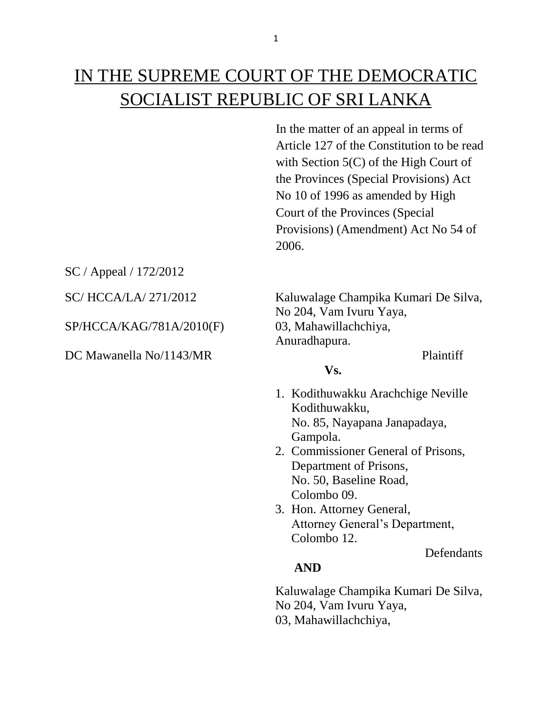# IN THE SUPREME COURT OF THE DEMOCRATIC SOCIALIST REPUBLIC OF SRI LANKA

In the matter of an appeal in terms of Article 127 of the Constitution to be read with Section 5(C) of the High Court of the Provinces (Special Provisions) Act No 10 of 1996 as amended by High Court of the Provinces (Special Provisions) (Amendment) Act No 54 of 2006.

SC / Appeal / 172/2012

SP/HCCA/KAG/781A/2010(F) 03, Mahawillachchiya,

DC Mawanella No/1143/MR Plaintiff

SC/ HCCA/LA/ 271/2012 Kaluwalage Champika Kumari De Silva, No 204, Vam Ivuru Yaya, Anuradhapura.

## 1. Kodithuwakku Arachchige Neville Kodithuwakku, No. 85, Nayapana Janapadaya, Gampola.

**Vs.**

- 2. Commissioner General of Prisons, Department of Prisons, No. 50, Baseline Road, Colombo 09.
- 3. Hon. Attorney General, Attorney General's Department, Colombo 12.

**Defendants** 

### **AND**

 Kaluwalage Champika Kumari De Silva, No 204, Vam Ivuru Yaya, 03, Mahawillachchiya,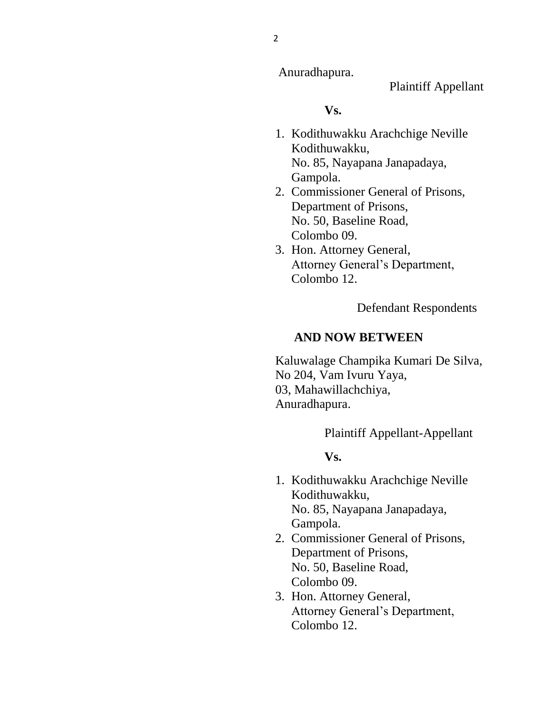Anuradhapura.

Plaintiff Appellant

#### **Vs.**

- 1. Kodithuwakku Arachchige Neville Kodithuwakku, No. 85, Nayapana Janapadaya, Gampola.
- 2. Commissioner General of Prisons, Department of Prisons, No. 50, Baseline Road, Colombo 09.
- 3. Hon. Attorney General, Attorney General's Department, Colombo 12.

Defendant Respondents

# **AND NOW BETWEEN**

 Kaluwalage Champika Kumari De Silva, No 204, Vam Ivuru Yaya, 03, Mahawillachchiya, Anuradhapura.

Plaintiff Appellant-Appellant

### **Vs.**

- 1. Kodithuwakku Arachchige Neville Kodithuwakku, No. 85, Nayapana Janapadaya, Gampola.
- 2. Commissioner General of Prisons, Department of Prisons, No. 50, Baseline Road, Colombo 09.
- 3. Hon. Attorney General, Attorney General's Department, Colombo 12.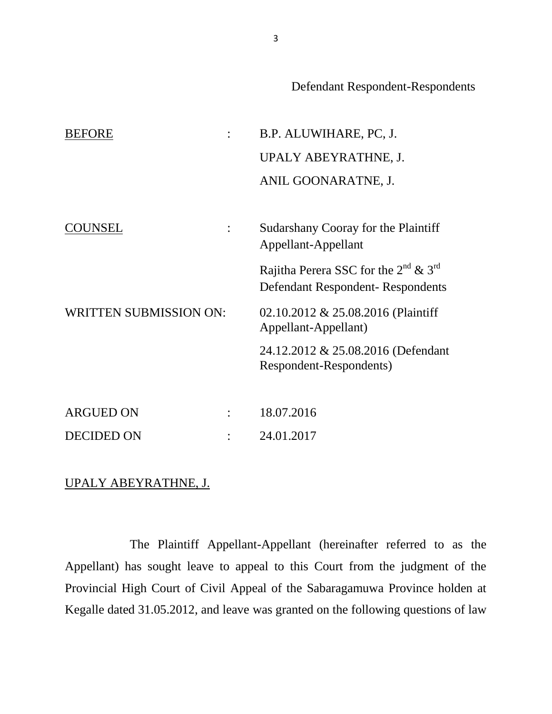Defendant Respondent-Respondents

| <b>BEFORE</b>                 |  | B.P. ALUWIHARE, PC, J.                                                                    |
|-------------------------------|--|-------------------------------------------------------------------------------------------|
|                               |  | UPALY ABEYRATHNE, J.                                                                      |
|                               |  | ANIL GOONARATNE, J.                                                                       |
|                               |  |                                                                                           |
| COUNSEL                       |  | Sudarshany Cooray for the Plaintiff<br>Appellant-Appellant                                |
|                               |  | Rajitha Perera SSC for the $2^{nd}$ & $3^{rd}$<br><b>Defendant Respondent-Respondents</b> |
| <b>WRITTEN SUBMISSION ON:</b> |  | 02.10.2012 & 25.08.2016 (Plaintiff<br>Appellant-Appellant)                                |
|                               |  | 24.12.2012 & 25.08.2016 (Defendant<br>Respondent-Respondents)                             |
|                               |  |                                                                                           |
| <b>ARGUED ON</b>              |  | 18.07.2016                                                                                |
| <b>DECIDED ON</b>             |  | 24.01.2017                                                                                |

# UPALY ABEYRATHNE, J.

The Plaintiff Appellant-Appellant (hereinafter referred to as the Appellant) has sought leave to appeal to this Court from the judgment of the Provincial High Court of Civil Appeal of the Sabaragamuwa Province holden at Kegalle dated 31.05.2012, and leave was granted on the following questions of law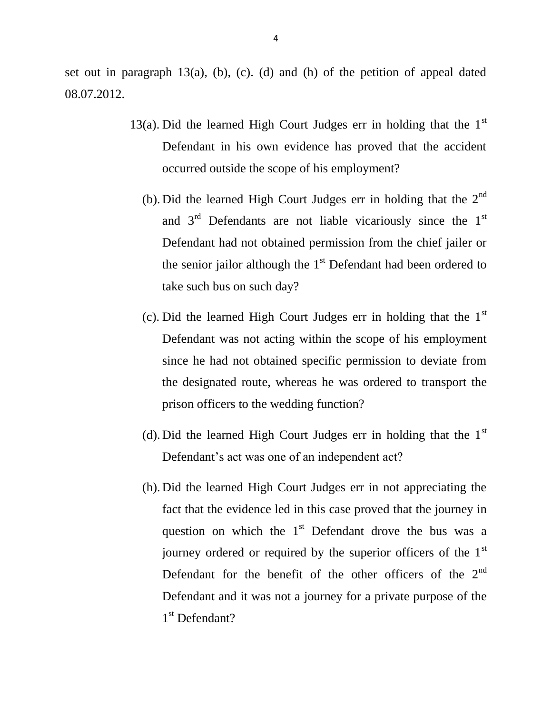set out in paragraph  $13(a)$ , (b), (c). (d) and (h) of the petition of appeal dated 08.07.2012.

- 13(a). Did the learned High Court Judges err in holding that the  $1<sup>st</sup>$ Defendant in his own evidence has proved that the accident occurred outside the scope of his employment?
	- (b). Did the learned High Court Judges err in holding that the  $2<sup>nd</sup>$ and  $3<sup>rd</sup>$  Defendants are not liable vicariously since the  $1<sup>st</sup>$ Defendant had not obtained permission from the chief jailer or the senior jailor although the  $1<sup>st</sup>$  Defendant had been ordered to take such bus on such day?
	- (c). Did the learned High Court Judges err in holding that the  $1<sup>st</sup>$ Defendant was not acting within the scope of his employment since he had not obtained specific permission to deviate from the designated route, whereas he was ordered to transport the prison officers to the wedding function?
	- (d). Did the learned High Court Judges err in holding that the  $1<sup>st</sup>$ Defendant's act was one of an independent act?
	- (h). Did the learned High Court Judges err in not appreciating the fact that the evidence led in this case proved that the journey in question on which the  $1<sup>st</sup>$  Defendant drove the bus was a journey ordered or required by the superior officers of the 1<sup>st</sup> Defendant for the benefit of the other officers of the  $2<sup>nd</sup>$ Defendant and it was not a journey for a private purpose of the 1<sup>st</sup> Defendant?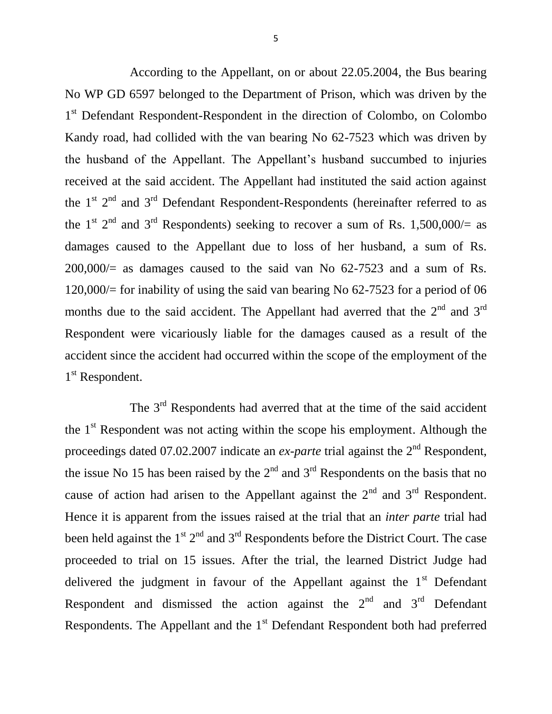According to the Appellant, on or about 22.05.2004, the Bus bearing No WP GD 6597 belonged to the Department of Prison, which was driven by the 1<sup>st</sup> Defendant Respondent-Respondent in the direction of Colombo, on Colombo Kandy road, had collided with the van bearing No 62-7523 which was driven by the husband of the Appellant. The Appellant's husband succumbed to injuries received at the said accident. The Appellant had instituted the said action against the  $1<sup>st</sup>$  2<sup>nd</sup> and 3<sup>rd</sup> Defendant Respondent-Respondents (hereinafter referred to as the 1<sup>st 2nd</sup> and 3<sup>rd</sup> Respondents) seeking to recover a sum of Rs. 1,500,000/= as damages caused to the Appellant due to loss of her husband, a sum of Rs.  $200,000/=$  as damages caused to the said van No 62-7523 and a sum of Rs. 120,000/= for inability of using the said van bearing No 62-7523 for a period of 06 months due to the said accident. The Appellant had averred that the  $2<sup>nd</sup>$  and  $3<sup>rd</sup>$ Respondent were vicariously liable for the damages caused as a result of the accident since the accident had occurred within the scope of the employment of the 1<sup>st</sup> Respondent.

The 3<sup>rd</sup> Respondents had averred that at the time of the said accident the  $1<sup>st</sup>$  Respondent was not acting within the scope his employment. Although the proceedings dated 07.02.2007 indicate an *ex-parte* trial against the 2<sup>nd</sup> Respondent, the issue No 15 has been raised by the  $2<sup>nd</sup>$  and  $3<sup>rd</sup>$  Respondents on the basis that no cause of action had arisen to the Appellant against the  $2<sup>nd</sup>$  and  $3<sup>rd</sup>$  Respondent. Hence it is apparent from the issues raised at the trial that an *inter parte* trial had been held against the  $1^{st} 2^{nd}$  and  $3^{rd}$  Respondents before the District Court. The case proceeded to trial on 15 issues. After the trial, the learned District Judge had delivered the judgment in favour of the Appellant against the  $1<sup>st</sup>$  Defendant Respondent and dismissed the action against the  $2<sup>nd</sup>$  and  $3<sup>rd</sup>$  Defendant Respondents. The Appellant and the  $1<sup>st</sup>$  Defendant Respondent both had preferred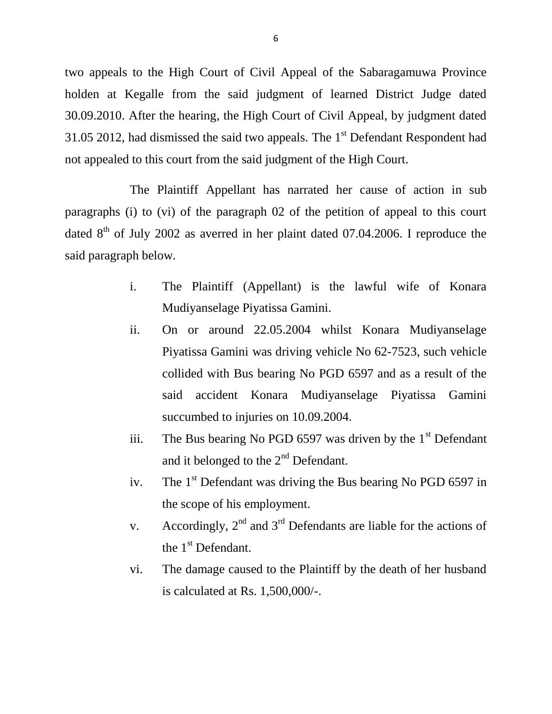two appeals to the High Court of Civil Appeal of the Sabaragamuwa Province holden at Kegalle from the said judgment of learned District Judge dated 30.09.2010. After the hearing, the High Court of Civil Appeal, by judgment dated 31.05 2012, had dismissed the said two appeals. The  $1<sup>st</sup>$  Defendant Respondent had not appealed to this court from the said judgment of the High Court.

The Plaintiff Appellant has narrated her cause of action in sub paragraphs (i) to (vi) of the paragraph 02 of the petition of appeal to this court dated  $8<sup>th</sup>$  of July 2002 as averred in her plaint dated 07.04.2006. I reproduce the said paragraph below.

- i. The Plaintiff (Appellant) is the lawful wife of Konara Mudiyanselage Piyatissa Gamini.
- ii. On or around 22.05.2004 whilst Konara Mudiyanselage Piyatissa Gamini was driving vehicle No 62-7523, such vehicle collided with Bus bearing No PGD 6597 and as a result of the said accident Konara Mudiyanselage Piyatissa Gamini succumbed to injuries on 10.09.2004.
- iii. The Bus bearing No PGD 6597 was driven by the  $1<sup>st</sup>$  Defendant and it belonged to the  $2<sup>nd</sup>$  Defendant.
- iv. The  $1<sup>st</sup>$  Defendant was driving the Bus bearing No PGD 6597 in the scope of his employment.
- v. Accordingly,  $2<sup>nd</sup>$  and  $3<sup>rd</sup>$  Defendants are liable for the actions of the 1<sup>st</sup> Defendant.
- vi. The damage caused to the Plaintiff by the death of her husband is calculated at Rs. 1,500,000/-.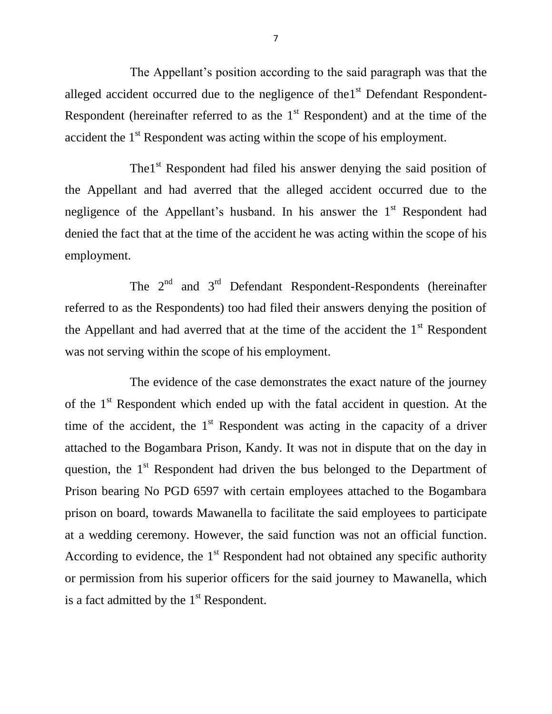The Appellant's position according to the said paragraph was that the alleged accident occurred due to the negligence of the  $1<sup>st</sup>$  Defendant Respondent-Respondent (hereinafter referred to as the  $1<sup>st</sup>$  Respondent) and at the time of the accident the 1<sup>st</sup> Respondent was acting within the scope of his employment.

The1<sup>st</sup> Respondent had filed his answer denying the said position of the Appellant and had averred that the alleged accident occurred due to the negligence of the Appellant's husband. In his answer the  $1<sup>st</sup>$  Respondent had denied the fact that at the time of the accident he was acting within the scope of his employment.

The  $2<sup>nd</sup>$  and  $3<sup>rd</sup>$  Defendant Respondent-Respondents (hereinafter referred to as the Respondents) too had filed their answers denying the position of the Appellant and had averred that at the time of the accident the  $1<sup>st</sup>$  Respondent was not serving within the scope of his employment.

The evidence of the case demonstrates the exact nature of the journey of the  $1<sup>st</sup>$  Respondent which ended up with the fatal accident in question. At the time of the accident, the  $1<sup>st</sup>$  Respondent was acting in the capacity of a driver attached to the Bogambara Prison, Kandy. It was not in dispute that on the day in question, the  $1<sup>st</sup>$  Respondent had driven the bus belonged to the Department of Prison bearing No PGD 6597 with certain employees attached to the Bogambara prison on board, towards Mawanella to facilitate the said employees to participate at a wedding ceremony. However, the said function was not an official function. According to evidence, the  $1<sup>st</sup>$  Respondent had not obtained any specific authority or permission from his superior officers for the said journey to Mawanella, which is a fact admitted by the  $1<sup>st</sup>$  Respondent.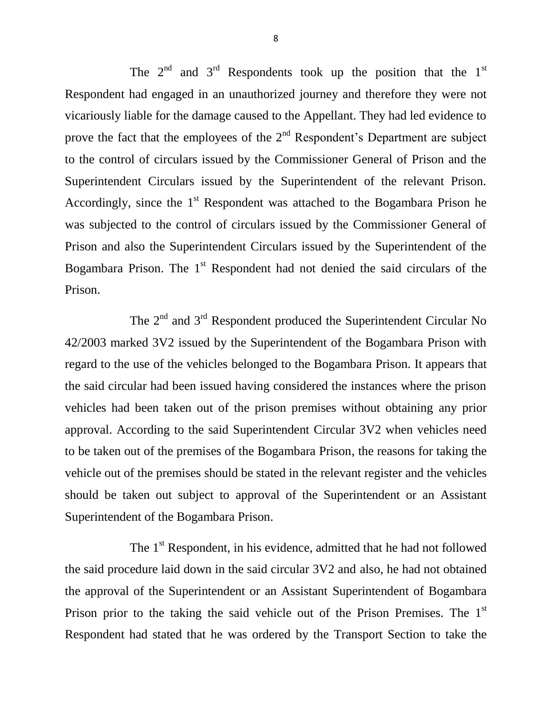The  $2<sup>nd</sup>$  and  $3<sup>rd</sup>$  Respondents took up the position that the  $1<sup>st</sup>$ Respondent had engaged in an unauthorized journey and therefore they were not vicariously liable for the damage caused to the Appellant. They had led evidence to prove the fact that the employees of the  $2<sup>nd</sup>$  Respondent's Department are subject to the control of circulars issued by the Commissioner General of Prison and the Superintendent Circulars issued by the Superintendent of the relevant Prison. Accordingly, since the  $1<sup>st</sup>$  Respondent was attached to the Bogambara Prison he was subjected to the control of circulars issued by the Commissioner General of Prison and also the Superintendent Circulars issued by the Superintendent of the Bogambara Prison. The  $1<sup>st</sup>$  Respondent had not denied the said circulars of the Prison.

The 2<sup>nd</sup> and 3<sup>rd</sup> Respondent produced the Superintendent Circular No 42/2003 marked 3V2 issued by the Superintendent of the Bogambara Prison with regard to the use of the vehicles belonged to the Bogambara Prison. It appears that the said circular had been issued having considered the instances where the prison vehicles had been taken out of the prison premises without obtaining any prior approval. According to the said Superintendent Circular 3V2 when vehicles need to be taken out of the premises of the Bogambara Prison, the reasons for taking the vehicle out of the premises should be stated in the relevant register and the vehicles should be taken out subject to approval of the Superintendent or an Assistant Superintendent of the Bogambara Prison.

The 1<sup>st</sup> Respondent, in his evidence, admitted that he had not followed the said procedure laid down in the said circular 3V2 and also, he had not obtained the approval of the Superintendent or an Assistant Superintendent of Bogambara Prison prior to the taking the said vehicle out of the Prison Premises. The 1<sup>st</sup> Respondent had stated that he was ordered by the Transport Section to take the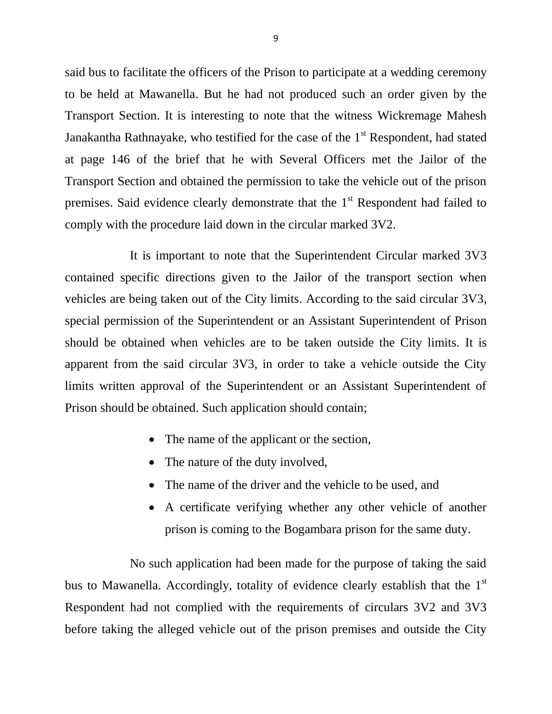said bus to facilitate the officers of the Prison to participate at a wedding ceremony to be held at Mawanella. But he had not produced such an order given by the Transport Section. It is interesting to note that the witness Wickremage Mahesh Janakantha Rathnayake, who testified for the case of the  $1<sup>st</sup>$  Respondent, had stated at page 146 of the brief that he with Several Officers met the Jailor of the Transport Section and obtained the permission to take the vehicle out of the prison premises. Said evidence clearly demonstrate that the  $1<sup>st</sup>$  Respondent had failed to comply with the procedure laid down in the circular marked 3V2.

It is important to note that the Superintendent Circular marked 3V3 contained specific directions given to the Jailor of the transport section when vehicles are being taken out of the City limits. According to the said circular 3V3, special permission of the Superintendent or an Assistant Superintendent of Prison should be obtained when vehicles are to be taken outside the City limits. It is apparent from the said circular 3V3, in order to take a vehicle outside the City limits written approval of the Superintendent or an Assistant Superintendent of Prison should be obtained. Such application should contain;

- The name of the applicant or the section,
- The nature of the duty involved,
- The name of the driver and the vehicle to be used, and
- A certificate verifying whether any other vehicle of another prison is coming to the Bogambara prison for the same duty.

No such application had been made for the purpose of taking the said bus to Mawanella. Accordingly, totality of evidence clearly establish that the 1<sup>st</sup> Respondent had not complied with the requirements of circulars 3V2 and 3V3 before taking the alleged vehicle out of the prison premises and outside the City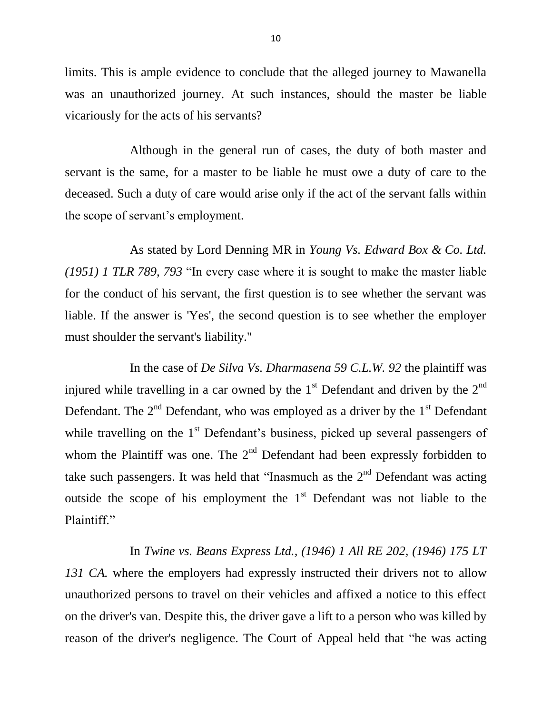limits. This is ample evidence to conclude that the alleged journey to Mawanella was an unauthorized journey. At such instances, should the master be liable vicariously for the acts of his servants?

Although in the general run of cases, the duty of both master and servant is the same, for a master to be liable he must owe a duty of care to the deceased. Such a duty of care would arise only if the act of the servant falls within the scope of servant's employment.

As stated by Lord Denning MR in *Young Vs. Edward Box & Co. Ltd. (1951) 1 TLR 789, 793* "In every case where it is sought to make the master liable for the conduct of his servant, the first question is to see whether the servant was liable. If the answer is 'Yes', the second question is to see whether the employer must shoulder the servant's liability."

In the case of *De Silva Vs. Dharmasena 59 C.L.W. 92* the plaintiff was injured while travelling in a car owned by the  $1<sup>st</sup>$  Defendant and driven by the  $2<sup>nd</sup>$ Defendant. The  $2<sup>nd</sup>$  Defendant, who was employed as a driver by the  $1<sup>st</sup>$  Defendant while travelling on the  $1<sup>st</sup>$  Defendant's business, picked up several passengers of whom the Plaintiff was one. The  $2<sup>nd</sup>$  Defendant had been expressly forbidden to take such passengers. It was held that "Inasmuch as the  $2<sup>nd</sup>$  Defendant was acting outside the scope of his employment the  $1<sup>st</sup>$  Defendant was not liable to the Plaintiff."

In *Twine vs. Beans Express Ltd., (1946) 1 All RE 202, (1946) 175 LT*  131 CA. where the employers had expressly instructed their drivers not to allow unauthorized persons to travel on their vehicles and affixed a notice to this effect on the driver's van. Despite this, the driver gave a lift to a person who was killed by reason of the driver's negligence. The Court of Appeal held that "he was acting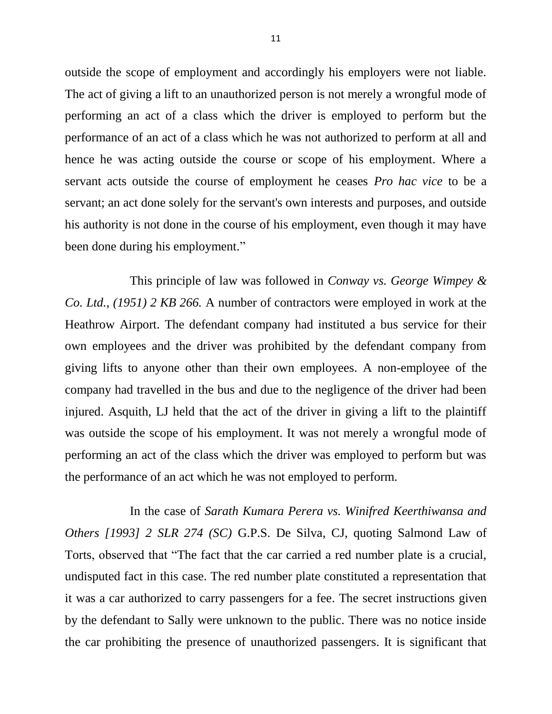outside the scope of employment and accordingly his employers were not liable. The act of giving a lift to an unauthorized person is not merely a wrongful mode of performing an act of a class which the driver is employed to perform but the performance of an act of a class which he was not authorized to perform at all and hence he was acting outside the course or scope of his employment. Where a servant acts outside the course of employment he ceases *Pro hac vice* to be a servant; an act done solely for the servant's own interests and purposes, and outside his authority is not done in the course of his employment, even though it may have been done during his employment."

This principle of law was followed in *Conway vs. George Wimpey & Co. Ltd., (1951) 2 KB 266.* A number of contractors were employed in work at the Heathrow Airport. The defendant company had instituted a bus service for their own employees and the driver was prohibited by the defendant company from giving lifts to anyone other than their own employees. A non-employee of the company had travelled in the bus and due to the negligence of the driver had been injured. Asquith, LJ held that the act of the driver in giving a lift to the plaintiff was outside the scope of his employment. It was not merely a wrongful mode of performing an act of the class which the driver was employed to perform but was the performance of an act which he was not employed to perform.

In the case of *Sarath Kumara Perera vs. Winifred Keerthiwansa and Others [1993] 2 SLR 274 (SC)* G.P.S. De Silva, CJ, quoting Salmond Law of Torts, observed that "The fact that the car carried a red number plate is a crucial, undisputed fact in this case. The red number plate constituted a representation that it was a car authorized to carry passengers for a fee. The secret instructions given by the defendant to Sally were unknown to the public. There was no notice inside the car prohibiting the presence of unauthorized passengers. It is significant that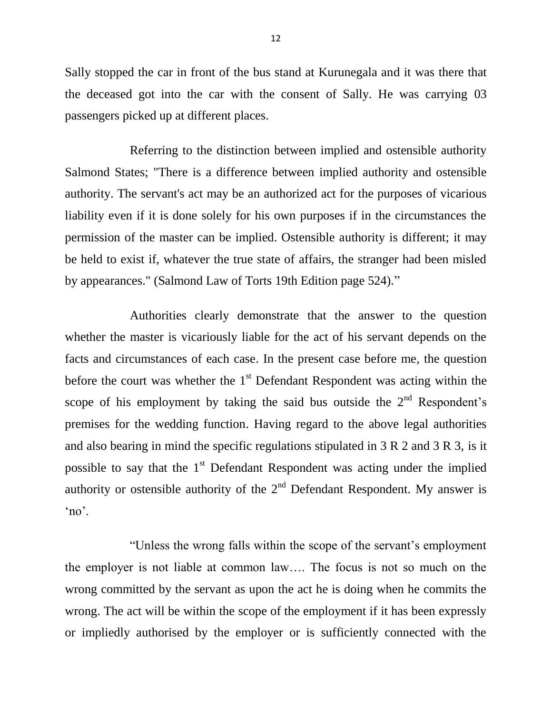Sally stopped the car in front of the bus stand at Kurunegala and it was there that the deceased got into the car with the consent of Sally. He was carrying 03 passengers picked up at different places.

Referring to the distinction between implied and ostensible authority Salmond States; "There is a difference between implied authority and ostensible authority. The servant's act may be an authorized act for the purposes of vicarious liability even if it is done solely for his own purposes if in the circumstances the permission of the master can be implied. Ostensible authority is different; it may be held to exist if, whatever the true state of affairs, the stranger had been misled by appearances." (Salmond Law of Torts 19th Edition page 524)."

Authorities clearly demonstrate that the answer to the question whether the master is vicariously liable for the act of his servant depends on the facts and circumstances of each case. In the present case before me, the question before the court was whether the  $1<sup>st</sup>$  Defendant Respondent was acting within the scope of his employment by taking the said bus outside the  $2<sup>nd</sup>$  Respondent's premises for the wedding function. Having regard to the above legal authorities and also bearing in mind the specific regulations stipulated in 3 R 2 and 3 R 3, is it possible to say that the  $1<sup>st</sup>$  Defendant Respondent was acting under the implied authority or ostensible authority of the  $2<sup>nd</sup>$  Defendant Respondent. My answer is 'no'.

"Unless the wrong falls within the scope of the servant's employment the employer is not liable at common law…. The focus is not so much on the wrong committed by the servant as upon the act he is doing when he commits the wrong. The act will be within the scope of the employment if it has been expressly or impliedly authorised by the employer or is sufficiently connected with the